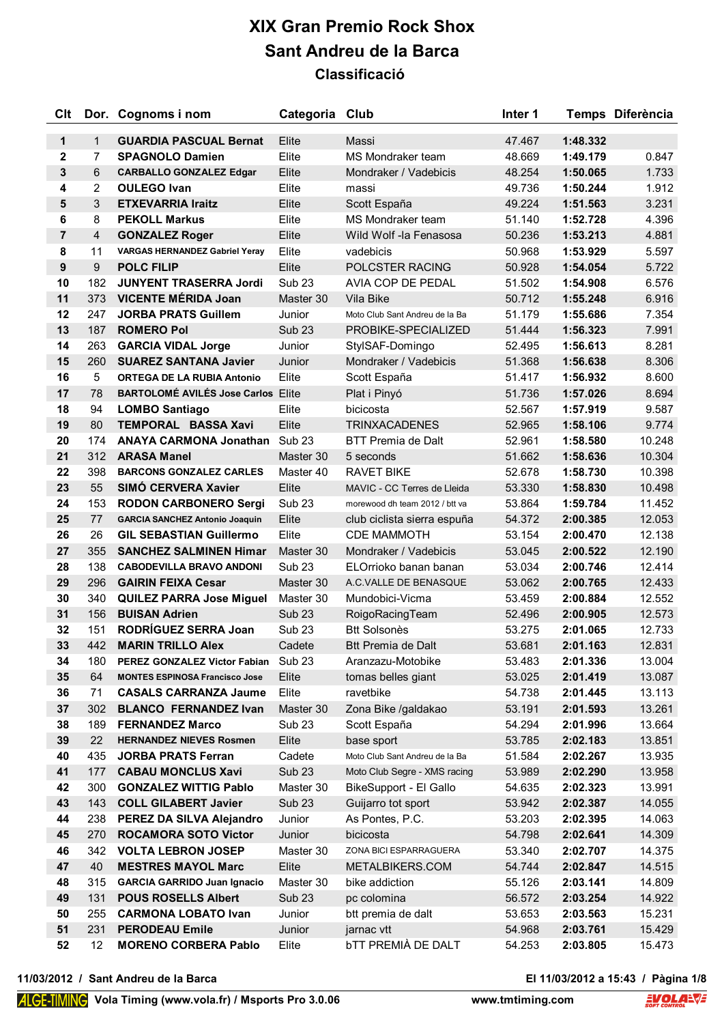| Clt            |                | Dor. Cognoms i nom                        | Categoria Club    |                                | Inter 1 |          | Temps Diferència |
|----------------|----------------|-------------------------------------------|-------------------|--------------------------------|---------|----------|------------------|
| 1              | $\mathbf{1}$   | <b>GUARDIA PASCUAL Bernat</b>             | Elite             | Massi                          | 47.467  | 1:48.332 |                  |
| 2              | $\overline{7}$ | <b>SPAGNOLO Damien</b>                    | Elite             | MS Mondraker team              | 48.669  | 1:49.179 | 0.847            |
| 3              | 6              | <b>CARBALLO GONZALEZ Edgar</b>            | Elite             | Mondraker / Vadebicis          | 48.254  | 1:50.065 | 1.733            |
| 4              | 2              | <b>OULEGO Ivan</b>                        | Elite             | massi                          | 49.736  | 1:50.244 | 1.912            |
| 5              | 3              | <b>ETXEVARRIA Iraitz</b>                  | Elite             | Scott España                   | 49.224  | 1:51.563 | 3.231            |
| 6              | 8              | <b>PEKOLL Markus</b>                      | Elite             | MS Mondraker team              | 51.140  | 1:52.728 | 4.396            |
| $\overline{7}$ | 4              | <b>GONZALEZ Roger</b>                     | Elite             | Wild Wolf -la Fenasosa         | 50.236  | 1:53.213 | 4.881            |
| 8              | 11             | <b>VARGAS HERNANDEZ Gabriel Yeray</b>     | Elite             | vadebicis                      | 50.968  | 1:53.929 | 5.597            |
| 9              | 9              | <b>POLC FILIP</b>                         | Elite             | POLCSTER RACING                | 50.928  | 1:54.054 | 5.722            |
| 10             | 182            | <b>JUNYENT TRASERRA Jordi</b>             | Sub <sub>23</sub> | AVIA COP DE PEDAL              | 51.502  | 1:54.908 | 6.576            |
| 11             | 373            | <b>VICENTE MÉRIDA Joan</b>                | Master 30         | Vila Bike                      | 50.712  | 1:55.248 | 6.916            |
| 12             | 247            | <b>JORBA PRATS Guillem</b>                | Junior            | Moto Club Sant Andreu de la Ba | 51.179  | 1:55.686 | 7.354            |
| 13             | 187            | <b>ROMERO Pol</b>                         | <b>Sub 23</b>     | PROBIKE-SPECIALIZED            | 51.444  | 1:56.323 | 7.991            |
| 14             | 263            | <b>GARCIA VIDAL Jorge</b>                 | Junior            | StylSAF-Domingo                | 52.495  | 1:56.613 | 8.281            |
| 15             | 260            | <b>SUAREZ SANTANA Javier</b>              | Junior            | Mondraker / Vadebicis          | 51.368  | 1:56.638 | 8.306            |
| 16             | 5              | <b>ORTEGA DE LA RUBIA Antonio</b>         | Elite             | Scott España                   | 51.417  | 1:56.932 | 8.600            |
| 17             | 78             | <b>BARTOLOMÉ AVILÉS Jose Carlos Elite</b> |                   | Plat i Pinyó                   | 51.736  | 1:57.026 | 8.694            |
| 18             | 94             | <b>LOMBO Santiago</b>                     | Elite             | bicicosta                      | 52.567  | 1:57.919 | 9.587            |
| 19             | 80             | <b>TEMPORAL BASSA Xavi</b>                | Elite             | <b>TRINXACADENES</b>           | 52.965  | 1:58.106 | 9.774            |
| 20             | 174            | <b>ANAYA CARMONA Jonathan</b>             | Sub <sub>23</sub> | <b>BTT Premia de Dalt</b>      | 52.961  | 1:58.580 | 10.248           |
| 21             | 312            | <b>ARASA Manel</b>                        | Master 30         | 5 seconds                      | 51.662  | 1:58.636 | 10.304           |
| 22             | 398            | <b>BARCONS GONZALEZ CARLES</b>            | Master 40         | <b>RAVET BIKE</b>              | 52.678  | 1:58.730 | 10.398           |
| 23             | 55             | SIMÓ CERVERA Xavier                       | Elite             | MAVIC - CC Terres de Lleida    | 53.330  | 1:58.830 | 10.498           |
| 24             | 153            | <b>RODON CARBONERO Sergi</b>              | <b>Sub 23</b>     | morewood dh team 2012 / btt va | 53.864  | 1:59.784 | 11.452           |
| 25             | 77             | <b>GARCIA SANCHEZ Antonio Joaquin</b>     | Elite             | club ciclista sierra espuña    | 54.372  | 2:00.385 | 12.053           |
| 26             | 26             | <b>GIL SEBASTIAN Guillermo</b>            | Elite             | <b>CDE MAMMOTH</b>             | 53.154  | 2:00.470 | 12.138           |
| 27             | 355            | <b>SANCHEZ SALMINEN Himar</b>             | Master 30         | Mondraker / Vadebicis          | 53.045  | 2:00.522 | 12.190           |
| 28             | 138            | <b>CABODEVILLA BRAVO ANDONI</b>           | Sub <sub>23</sub> | ELOrrioko banan banan          | 53.034  | 2:00.746 | 12.414           |
| 29             | 296            | <b>GAIRIN FEIXA Cesar</b>                 | Master 30         | A.C.VALLE DE BENASQUE          | 53.062  | 2:00.765 | 12.433           |
| 30             | 340            | <b>QUILEZ PARRA Jose Miguel</b>           | Master 30         | Mundobici-Vicma                | 53.459  | 2:00.884 | 12.552           |
| 31             | 156            | <b>BUISAN Adrien</b>                      | Sub <sub>23</sub> | RoigoRacingTeam                | 52.496  | 2:00.905 | 12.573           |
| 32             | 151            | RODRÍGUEZ SERRA Joan                      | Sub <sub>23</sub> | <b>Btt Solsonès</b>            | 53.275  | 2:01.065 | 12.733           |
| 33             | 442            | <b>MARIN TRILLO Alex</b>                  | Cadete            | <b>Btt Premia de Dalt</b>      | 53.681  | 2:01.163 | 12.831           |
| 34             | 180            | PEREZ GONZALEZ Victor Fabian              | Sub <sub>23</sub> | Aranzazu-Motobike              | 53.483  | 2:01.336 | 13.004           |
| 35             | 64             | <b>MONTES ESPINOSA Francisco Jose</b>     | Elite             | tomas belles giant             | 53.025  | 2:01.419 | 13.087           |
| 36             | 71             | <b>CASALS CARRANZA Jaume</b>              | Elite             | ravetbike                      | 54.738  | 2:01.445 | 13.113           |
| 37             | 302            | <b>BLANCO FERNANDEZ Ivan</b>              | Master 30         | Zona Bike /galdakao            | 53.191  | 2:01.593 | 13.261           |
| 38             | 189            | <b>FERNANDEZ Marco</b>                    | Sub <sub>23</sub> | Scott España                   | 54.294  | 2:01.996 | 13.664           |
| 39             | 22             | <b>HERNANDEZ NIEVES Rosmen</b>            | Elite             | base sport                     | 53.785  | 2:02.183 | 13.851           |
| 40             | 435            | <b>JORBA PRATS Ferran</b>                 | Cadete            | Moto Club Sant Andreu de la Ba | 51.584  | 2:02.267 | 13.935           |
| 41             | 177            | <b>CABAU MONCLUS Xavi</b>                 | Sub <sub>23</sub> | Moto Club Segre - XMS racing   | 53.989  | 2:02.290 | 13.958           |
| 42             | 300            | <b>GONZALEZ WITTIG Pablo</b>              | Master 30         | BikeSupport - El Gallo         | 54.635  | 2:02.323 | 13.991           |
| 43             | 143            | <b>COLL GILABERT Javier</b>               | Sub <sub>23</sub> | Guijarro tot sport             | 53.942  | 2:02.387 | 14.055           |
| 44             | 238            | PEREZ DA SILVA Alejandro                  | Junior            | As Pontes, P.C.                | 53.203  | 2:02.395 | 14.063           |
| 45             | 270            | <b>ROCAMORA SOTO Victor</b>               | Junior            | bicicosta                      | 54.798  | 2:02.641 | 14.309           |
| 46             | 342            | <b>VOLTA LEBRON JOSEP</b>                 | Master 30         | ZONA BICI ESPARRAGUERA         | 53.340  | 2:02.707 | 14.375           |
| 47             | 40             | <b>MESTRES MAYOL Marc</b>                 | Elite             | METALBIKERS.COM                | 54.744  | 2:02.847 | 14.515           |
| 48             | 315            | <b>GARCIA GARRIDO Juan Ignacio</b>        | Master 30         | bike addiction                 | 55.126  | 2:03.141 | 14.809           |
| 49             | 131            | <b>POUS ROSELLS Albert</b>                | Sub <sub>23</sub> | pc colomina                    | 56.572  | 2:03.254 | 14.922           |
| 50             | 255            | <b>CARMONA LOBATO Ivan</b>                | Junior            | btt premia de dalt             | 53.653  | 2:03.563 | 15.231           |
| 51             | 231            | <b>PERODEAU Emile</b>                     | Junior            | jarnac vtt                     | 54.968  | 2:03.761 | 15.429           |
| 52             | 12             | <b>MORENO CORBERA Pablo</b>               | Elite             | <b>bTT PREMIÀ DE DALT</b>      | 54.253  | 2:03.805 | 15.473           |

**11/03/2012 / Sant Andreu de la Barca El 11/03/2012 a 15:43 / Pàgina 1/8**

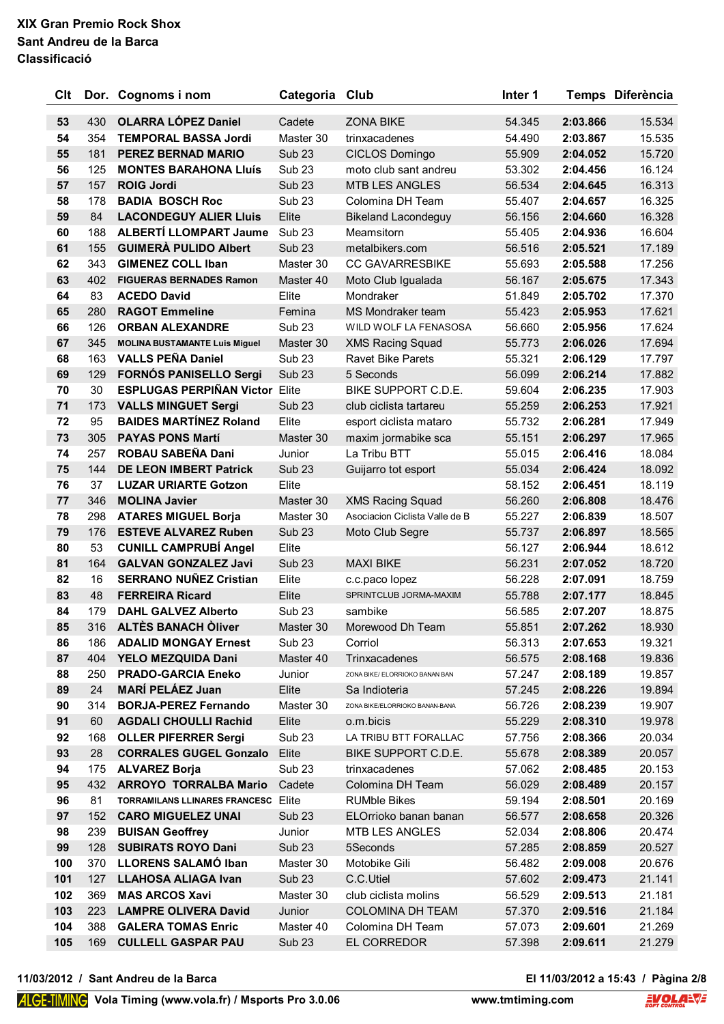| Clt |     | Dor. Cognoms i nom                    | Categoria Club    |                                | Inter 1 |          | Temps Diferència |
|-----|-----|---------------------------------------|-------------------|--------------------------------|---------|----------|------------------|
| 53  | 430 | <b>OLARRA LÓPEZ Daniel</b>            | Cadete            | <b>ZONA BIKE</b>               | 54.345  | 2:03.866 | 15.534           |
| 54  | 354 | <b>TEMPORAL BASSA Jordi</b>           | Master 30         | trinxacadenes                  | 54.490  | 2:03.867 | 15.535           |
| 55  | 181 | <b>PEREZ BERNAD MARIO</b>             | <b>Sub 23</b>     | CICLOS Domingo                 | 55.909  | 2:04.052 | 15.720           |
| 56  | 125 | <b>MONTES BARAHONA Lluís</b>          | Sub <sub>23</sub> | moto club sant andreu          | 53.302  | 2:04.456 | 16.124           |
| 57  | 157 | <b>ROIG Jordi</b>                     | Sub <sub>23</sub> | <b>MTB LES ANGLES</b>          | 56.534  | 2:04.645 | 16.313           |
| 58  | 178 | <b>BADIA BOSCH Roc</b>                | Sub <sub>23</sub> | Colomina DH Team               | 55.407  | 2:04.657 | 16.325           |
| 59  | 84  | <b>LACONDEGUY ALIER LIUIS</b>         | Elite             | <b>Bikeland Lacondeguy</b>     | 56.156  | 2:04.660 | 16.328           |
| 60  | 188 | <b>ALBERTÍ LLOMPART Jaume</b>         | Sub <sub>23</sub> | Meamsitorn                     | 55.405  | 2:04.936 | 16.604           |
| 61  | 155 | <b>GUIMERÀ PULIDO Albert</b>          | Sub <sub>23</sub> | metalbikers.com                | 56.516  | 2:05.521 | 17.189           |
| 62  | 343 | <b>GIMENEZ COLL Iban</b>              | Master 30         | <b>CC GAVARRESBIKE</b>         | 55.693  | 2:05.588 | 17.256           |
| 63  | 402 | <b>FIGUERAS BERNADES Ramon</b>        | Master 40         | Moto Club Igualada             | 56.167  | 2:05.675 | 17.343           |
| 64  | 83  | <b>ACEDO David</b>                    | Elite             | Mondraker                      | 51.849  | 2:05.702 | 17.370           |
| 65  | 280 | <b>RAGOT Emmeline</b>                 | Femina            | MS Mondraker team              | 55.423  | 2:05.953 | 17.621           |
| 66  | 126 | <b>ORBAN ALEXANDRE</b>                | Sub <sub>23</sub> | WILD WOLF LA FENASOSA          | 56.660  | 2:05.956 | 17.624           |
| 67  | 345 | <b>MOLINA BUSTAMANTE Luis Miguel</b>  | Master 30         | <b>XMS Racing Squad</b>        | 55.773  | 2:06.026 | 17.694           |
| 68  | 163 | <b>VALLS PEÑA Daniel</b>              | Sub <sub>23</sub> | <b>Ravet Bike Parets</b>       | 55.321  | 2:06.129 | 17.797           |
| 69  | 129 | <b>FORNÓS PANISELLO Sergi</b>         | <b>Sub 23</b>     | 5 Seconds                      | 56.099  | 2:06.214 | 17.882           |
| 70  | 30  | <b>ESPLUGAS PERPIÑAN Victor Elite</b> |                   | BIKE SUPPORT C.D.E.            | 59.604  | 2:06.235 | 17.903           |
| 71  | 173 | <b>VALLS MINGUET Sergi</b>            | Sub <sub>23</sub> | club ciclista tartareu         | 55.259  | 2:06.253 | 17.921           |
| 72  | 95  | <b>BAIDES MARTÍNEZ Roland</b>         | Elite             | esport ciclista mataro         | 55.732  | 2:06.281 | 17.949           |
| 73  | 305 | <b>PAYAS PONS Martí</b>               | Master 30         | maxim jormabike sca            | 55.151  | 2:06.297 | 17.965           |
| 74  | 257 | ROBAU SABEÑA Dani                     | Junior            | La Tribu BTT                   | 55.015  | 2:06.416 | 18.084           |
| 75  | 144 | <b>DE LEON IMBERT Patrick</b>         | <b>Sub 23</b>     | Guijarro tot esport            | 55.034  | 2:06.424 | 18.092           |
| 76  | 37  | <b>LUZAR URIARTE Gotzon</b>           | Elite             |                                | 58.152  | 2:06.451 | 18.119           |
| 77  | 346 | <b>MOLINA Javier</b>                  | Master 30         | <b>XMS Racing Squad</b>        | 56.260  | 2:06.808 | 18.476           |
| 78  | 298 | <b>ATARES MIGUEL Borja</b>            | Master 30         | Asociacion Ciclista Valle de B | 55.227  | 2:06.839 | 18.507           |
| 79  | 176 | <b>ESTEVE ALVAREZ Ruben</b>           | Sub <sub>23</sub> | Moto Club Segre                | 55.737  | 2:06.897 | 18.565           |
| 80  | 53  | <b>CUNILL CAMPRUBÍ Angel</b>          | Elite             |                                | 56.127  | 2:06.944 | 18.612           |
| 81  | 164 | <b>GALVAN GONZALEZ Javi</b>           | <b>Sub 23</b>     | <b>MAXI BIKE</b>               | 56.231  | 2:07.052 | 18.720           |
| 82  | 16  | <b>SERRANO NUÑEZ Cristian</b>         | Elite             | c.c.paco lopez                 | 56.228  | 2:07.091 | 18.759           |
| 83  | 48  | <b>FERREIRA Ricard</b>                | Elite             | SPRINTCLUB JORMA-MAXIM         | 55.788  | 2:07.177 | 18.845           |
| 84  | 179 | <b>DAHL GALVEZ Alberto</b>            | Sub <sub>23</sub> | sambike                        | 56.585  | 2:07.207 | 18.875           |
| 85  | 316 | <b>ALTÈS BANACH Oliver</b>            | Master 30         | Morewood Dh Team               | 55.851  | 2:07.262 | 18.930           |
| 86  | 186 | <b>ADALID MONGAY Ernest</b>           | Sub <sub>23</sub> | Corriol                        | 56.313  | 2:07.653 | 19.321           |
| 87  | 404 | YELO MEZQUIDA Dani                    | Master 40         | Trinxacadenes                  | 56.575  | 2:08.168 | 19.836           |
| 88  | 250 | <b>PRADO-GARCIA Eneko</b>             | Junior            | ZONA BIKE/ ELORRIOKO BANAN BAN | 57.247  | 2:08.189 | 19.857           |
| 89  | 24  | <b>MARÍ PELÁEZ Juan</b>               | Elite             | Sa Indioteria                  | 57.245  | 2:08.226 | 19.894           |
| 90  | 314 | <b>BORJA-PEREZ Fernando</b>           | Master 30         | ZONA BIKE/ELORRIOKO BANAN-BANA | 56.726  | 2:08.239 | 19.907           |
| 91  | 60  | <b>AGDALI CHOULLI Rachid</b>          | Elite             | o.m.bicis                      | 55.229  | 2:08.310 | 19.978           |
| 92  | 168 | <b>OLLER PIFERRER Sergi</b>           | Sub <sub>23</sub> | LA TRIBU BTT FORALLAC          | 57.756  | 2:08.366 | 20.034           |
| 93  | 28  | <b>CORRALES GUGEL Gonzalo</b>         | Elite             | BIKE SUPPORT C.D.E.            | 55.678  | 2:08.389 | 20.057           |
| 94  | 175 | <b>ALVAREZ Borja</b>                  | Sub <sub>23</sub> | trinxacadenes                  | 57.062  | 2:08.485 | 20.153           |
| 95  | 432 | <b>ARROYO TORRALBA Mario</b>          | Cadete            | Colomina DH Team               | 56.029  | 2:08.489 | 20.157           |
| 96  | 81  | TORRAMILANS LLINARES FRANCESC         | Elite             | <b>RUMble Bikes</b>            | 59.194  | 2:08.501 | 20.169           |
| 97  | 152 | <b>CARO MIGUELEZ UNAI</b>             | Sub <sub>23</sub> | ELOrrioko banan banan          | 56.577  | 2:08.658 | 20.326           |
| 98  | 239 | <b>BUISAN Geoffrey</b>                | Junior            | <b>MTB LES ANGLES</b>          | 52.034  | 2:08.806 | 20.474           |
| 99  | 128 | <b>SUBIRATS ROYO Dani</b>             | Sub <sub>23</sub> | 5Seconds                       | 57.285  | 2:08.859 | 20.527           |
| 100 | 370 | <b>LLORENS SALAMO Iban</b>            | Master 30         | Motobike Gili                  | 56.482  | 2:09.008 | 20.676           |
| 101 | 127 | <b>LLAHOSA ALIAGA Ivan</b>            | <b>Sub 23</b>     | C.C.Utiel                      | 57.602  | 2:09.473 | 21.141           |
| 102 | 369 | <b>MAS ARCOS Xavi</b>                 | Master 30         | club ciclista molins           | 56.529  | 2:09.513 | 21.181           |
| 103 | 223 | <b>LAMPRE OLIVERA David</b>           | Junior            | <b>COLOMINA DH TEAM</b>        | 57.370  | 2:09.516 | 21.184           |
| 104 | 388 | <b>GALERA TOMAS Enric</b>             | Master 40         | Colomina DH Team               | 57.073  | 2:09.601 | 21.269           |
| 105 | 169 | <b>CULLELL GASPAR PAU</b>             | Sub <sub>23</sub> | EL CORREDOR                    | 57.398  | 2:09.611 | 21.279           |

**11/03/2012 / Sant Andreu de la Barca El 11/03/2012 a 15:43 / Pàgina 2/8**

# El 11/03/2012 a 15:43 / Pàgina 2/8<br>ming.com **EVOLANT**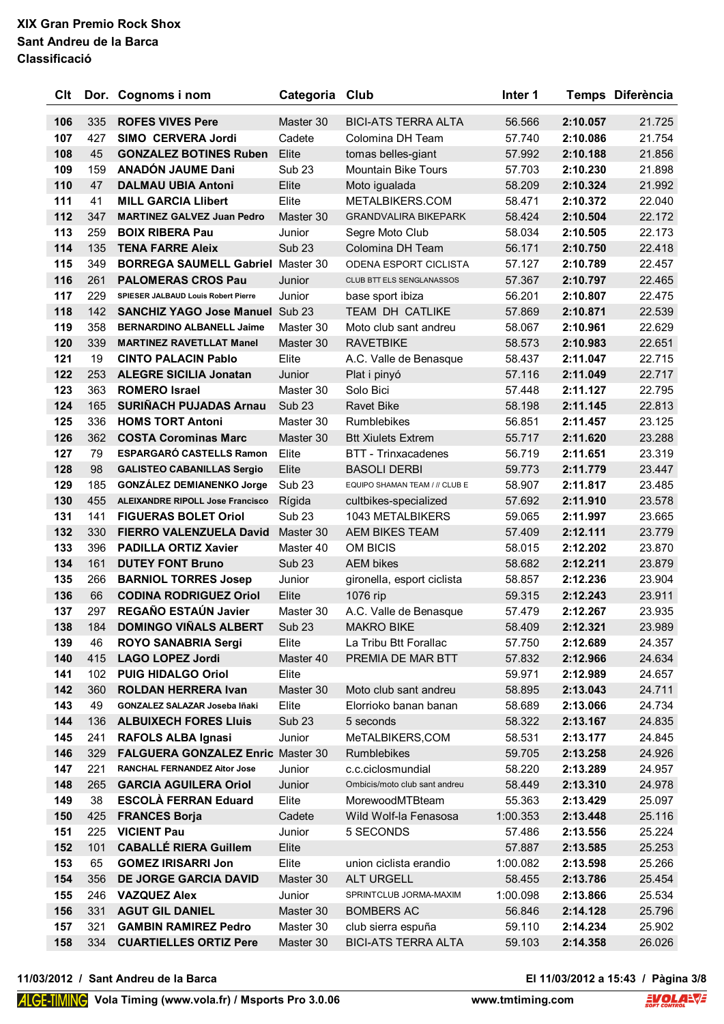| Clt        |            | Dor. Cognoms i nom                                                              | Categoria Club    |                                  | Inter 1          |                      | Temps Diferència |
|------------|------------|---------------------------------------------------------------------------------|-------------------|----------------------------------|------------------|----------------------|------------------|
| 106        | 335        | <b>ROFES VIVES Pere</b>                                                         | Master 30         | <b>BICI-ATS TERRA ALTA</b>       | 56.566           | 2:10.057             | 21.725           |
| 107        | 427        | <b>SIMO CERVERA Jordi</b>                                                       | Cadete            | Colomina DH Team                 | 57.740           | 2:10.086             | 21.754           |
| 108        | 45         | <b>GONZALEZ BOTINES Ruben</b>                                                   | Elite             | tomas belles-giant               | 57.992           | 2:10.188             | 21.856           |
| 109        | 159        | <b>ANADÓN JAUME Dani</b>                                                        | Sub <sub>23</sub> | <b>Mountain Bike Tours</b>       | 57.703           | 2:10.230             | 21.898           |
| 110        | 47         | <b>DALMAU UBIA Antoni</b>                                                       | Elite             | Moto igualada                    | 58.209           | 2:10.324             | 21.992           |
| 111        | 41         | <b>MILL GARCIA Llibert</b>                                                      | Elite             | METALBIKERS.COM                  | 58.471           | 2:10.372             | 22.040           |
| 112        | 347        | <b>MARTINEZ GALVEZ Juan Pedro</b>                                               | Master 30         | <b>GRANDVALIRA BIKEPARK</b>      | 58.424           | 2:10.504             | 22.172           |
| 113        | 259        | <b>BOIX RIBERA Pau</b>                                                          | Junior            | Segre Moto Club                  | 58.034           | 2:10.505             | 22.173           |
| 114        | 135        | <b>TENA FARRE Aleix</b>                                                         | <b>Sub 23</b>     | Colomina DH Team                 | 56.171           | 2:10.750             | 22.418           |
| 115        | 349        | <b>BORREGA SAUMELL Gabriel Master 30</b>                                        |                   | ODENA ESPORT CICLISTA            | 57.127           | 2:10.789             | 22.457           |
| 116        | 261        | <b>PALOMERAS CROS Pau</b>                                                       | Junior            | CLUB BTT ELS SENGLANASSOS        | 57.367           | 2:10.797             | 22.465           |
| 117        | 229        | SPIESER JALBAUD Louis Robert Pierre                                             | Junior            | base sport ibiza                 | 56.201           | 2:10.807             | 22.475           |
| 118        | 142        | <b>SANCHIZ YAGO Jose Manuel Sub 23</b>                                          |                   | <b>TEAM DH CATLIKE</b>           | 57.869           | 2:10.871             | 22.539           |
| 119        | 358        | <b>BERNARDINO ALBANELL Jaime</b>                                                | Master 30         | Moto club sant andreu            | 58.067           | 2:10.961             | 22.629           |
| 120        | 339        | <b>MARTINEZ RAVETLLAT Manel</b>                                                 | Master 30         | <b>RAVETBIKE</b>                 | 58.573           | 2:10.983             | 22.651           |
| 121        | 19         | <b>CINTO PALACIN Pablo</b>                                                      | Elite             | A.C. Valle de Benasque           | 58.437           | 2:11.047             | 22.715           |
| 122        | 253        | <b>ALEGRE SICILIA Jonatan</b>                                                   | Junior            | Plat i pinyó                     | 57.116           | 2:11.049             | 22.717           |
| 123        | 363        | <b>ROMERO Israel</b>                                                            | Master 30         | Solo Bici                        | 57.448           | 2:11.127             | 22.795           |
| 124        | 165        | <b>SURIÑACH PUJADAS Arnau</b>                                                   | Sub <sub>23</sub> | <b>Ravet Bike</b>                | 58.198           | 2:11.145             | 22.813           |
| 125        | 336        | <b>HOMS TORT Antoni</b>                                                         | Master 30         | <b>Rumblebikes</b>               | 56.851           | 2:11.457             | 23.125           |
| 126        | 362        | <b>COSTA Corominas Marc</b>                                                     | Master 30         | <b>Btt Xiulets Extrem</b>        | 55.717           | 2:11.620             | 23.288           |
| 127        | 79         | <b>ESPARGARÓ CASTELLS Ramon</b>                                                 | Elite             | <b>BTT - Trinxacadenes</b>       | 56.719           | 2:11.651             | 23.319           |
| 128        | 98         | <b>GALISTEO CABANILLAS Sergio</b>                                               | Elite             | <b>BASOLI DERBI</b>              | 59.773           | 2:11.779             | 23.447           |
| 129        | 185        | <b>GONZÁLEZ DEMIANENKO Jorge</b>                                                | Sub <sub>23</sub> | EQUIPO SHAMAN TEAM / // CLUB E   | 58.907           | 2:11.817             | 23.485           |
| 130        | 455        | <b>ALEIXANDRE RIPOLL Jose Francisco</b>                                         | Rígida            | cultbikes-specialized            | 57.692           | 2:11.910             | 23.578           |
| 131        | 141        | <b>FIGUERAS BOLET Oriol</b>                                                     | Sub <sub>23</sub> | <b>1043 METALBIKERS</b>          | 59.065           | 2:11.997             | 23.665           |
| 132        | 330        | <b>FIERRO VALENZUELA David</b>                                                  | Master 30         | <b>AEM BIKES TEAM</b>            | 57.409           | 2:12.111             | 23.779           |
| 133        | 396        | <b>PADILLA ORTIZ Xavier</b>                                                     | Master 40         | OM BICIS                         | 58.015           | 2:12.202             | 23.870           |
| 134        | 161        | <b>DUTEY FONT Bruno</b>                                                         | Sub <sub>23</sub> | <b>AEM bikes</b>                 | 58.682           | 2:12.211             | 23.879           |
| 135        | 266        | <b>BARNIOL TORRES Josep</b>                                                     | Junior            | gironella, esport ciclista       | 58.857           | 2:12.236             | 23.904           |
| 136        | 66         | <b>CODINA RODRIGUEZ Oriol</b>                                                   | Elite             | 1076 rip                         | 59.315           | 2:12.243             | 23.911           |
| 137        | 297        | REGAÑO ESTAÚN Javier                                                            | Master 30         | A.C. Valle de Benasque           | 57.479           | 2:12.267             | 23.935           |
| 138        | 184        | <b>DOMINGO VIÑALS ALBERT</b>                                                    | <b>Sub 23</b>     | <b>MAKRO BIKE</b>                | 58.409           | 2:12.321             | 23.989           |
| 139        | 46         | <b>ROYO SANABRIA Sergi</b>                                                      | Elite             | La Tribu Btt Forallac            | 57.750           | 2:12.689             | 24.357           |
| 140        | 415        | <b>LAGO LOPEZ Jordi</b>                                                         | Master 40         | PREMIA DE MAR BTT                | 57.832           | 2:12.966             | 24.634           |
| 141        | 102        | <b>PUIG HIDALGO Oriol</b>                                                       | Elite             |                                  | 59.971           | 2:12.989             | 24.657           |
| 142        | 360        | <b>ROLDAN HERRERA Ivan</b>                                                      | Master 30         | Moto club sant andreu            | 58.895           | 2:13.043             | 24.711           |
| 143        | 49         | GONZALEZ SALAZAR Joseba Iñaki                                                   | Elite             | Elorrioko banan banan            | 58.689           | 2:13.066             | 24.734           |
| 144        | 136        | <b>ALBUIXECH FORES Lluis</b>                                                    | <b>Sub 23</b>     | 5 seconds                        | 58.322           | 2:13.167             | 24.835           |
| 145        | 241        | <b>RAFOLS ALBA Ignasi</b>                                                       | Junior            | MeTALBIKERS,COM                  | 58.531           | 2:13.177             | 24.845           |
| 146<br>147 | 329<br>221 | <b>FALGUERA GONZALEZ Enric Master 30</b><br><b>RANCHAL FERNANDEZ Aitor Jose</b> |                   | Rumblebikes<br>c.c.ciclosmundial | 59.705<br>58.220 | 2:13.258<br>2:13.289 | 24.926<br>24.957 |
| 148        | 265        | <b>GARCIA AGUILERA Oriol</b>                                                    | Junior            | Ombicis/moto club sant andreu    |                  | 2:13.310             | 24.978           |
| 149        | 38         | <b>ESCOLÀ FERRAN Eduard</b>                                                     | Junior<br>Elite   | MorewoodMTBteam                  | 58.449<br>55.363 | 2:13.429             | 25.097           |
| 150        | 425        | <b>FRANCES Borja</b>                                                            | Cadete            | Wild Wolf-la Fenasosa            | 1:00.353         | 2:13.448             | 25.116           |
| 151        | 225        | <b>VICIENT Pau</b>                                                              | Junior            | 5 SECONDS                        | 57.486           | 2:13.556             | 25.224           |
| 152        | 101        | <b>CABALLÉ RIERA Guillem</b>                                                    | Elite             |                                  | 57.887           | 2:13.585             | 25.253           |
| 153        | 65         | <b>GOMEZ IRISARRI Jon</b>                                                       | Elite             | union ciclista erandio           | 1:00.082         | 2:13.598             | 25.266           |
| 154        | 356        | DE JORGE GARCIA DAVID                                                           | Master 30         | <b>ALT URGELL</b>                | 58.455           | 2:13.786             | 25.454           |
| 155        | 246        | <b>VAZQUEZ Alex</b>                                                             | Junior            | SPRINTCLUB JORMA-MAXIM           | 1:00.098         | 2:13.866             | 25.534           |
| 156        | 331        | <b>AGUT GIL DANIEL</b>                                                          | Master 30         | <b>BOMBERS AC</b>                | 56.846           | 2:14.128             | 25.796           |
| 157        | 321        | <b>GAMBIN RAMIREZ Pedro</b>                                                     | Master 30         | club sierra espuña               | 59.110           | 2:14.234             | 25.902           |
| 158        | 334        | <b>CUARTIELLES ORTIZ Pere</b>                                                   | Master 30         | <b>BICI-ATS TERRA ALTA</b>       | 59.103           | 2:14.358             | 26.026           |
|            |            |                                                                                 |                   |                                  |                  |                      |                  |

**11/03/2012 / Sant Andreu de la Barca El 11/03/2012 a 15:43 / Pàgina 3/8**

El 11/03/2012 a 15:43 / Pàgina 3/8<br>ming.com **EVOLANT**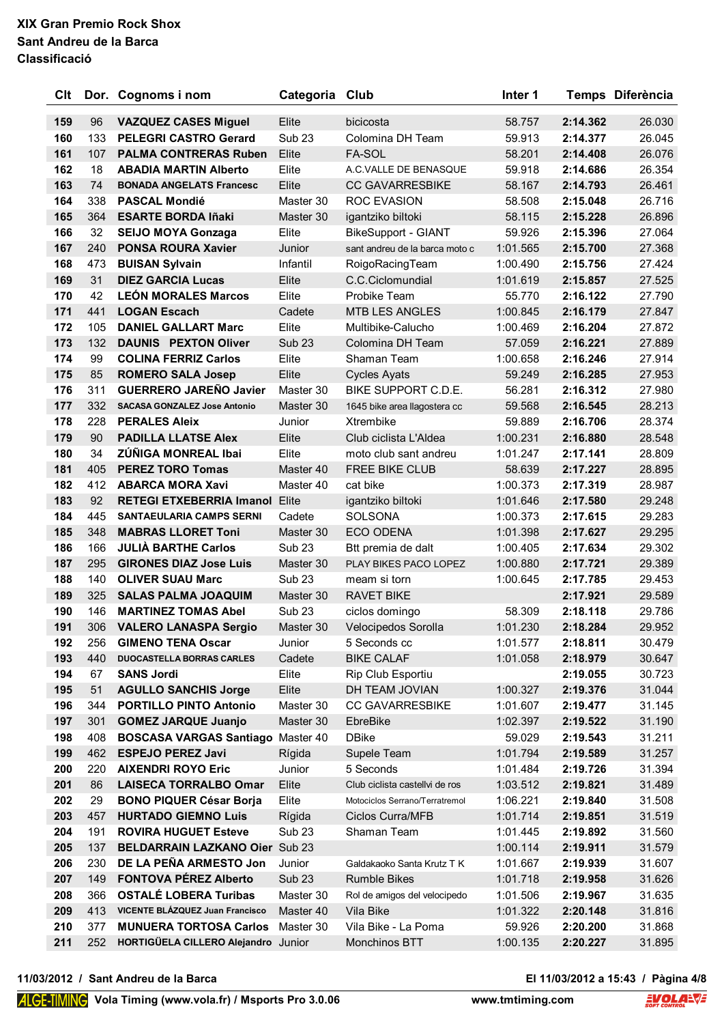| Clt        |            | Dor. Cognoms i nom                                           | Categoria           | Club                               | Inter 1              |                      | Temps Diferència |
|------------|------------|--------------------------------------------------------------|---------------------|------------------------------------|----------------------|----------------------|------------------|
| 159        | 96         | <b>VAZQUEZ CASES Miguel</b>                                  | Elite               | bicicosta                          | 58.757               | 2:14.362             | 26.030           |
| 160        | 133        | <b>PELEGRI CASTRO Gerard</b>                                 | Sub <sub>23</sub>   | Colomina DH Team                   | 59.913               | 2:14.377             | 26.045           |
| 161        | 107        | <b>PALMA CONTRERAS Ruben</b>                                 | Elite               | <b>FA-SOL</b>                      | 58.201               | 2:14.408             | 26.076           |
| 162        | 18         | <b>ABADIA MARTIN Alberto</b>                                 | Elite               | A.C.VALLE DE BENASQUE              | 59.918               | 2:14.686             | 26.354           |
| 163        | 74         | <b>BONADA ANGELATS Francesc</b>                              | Elite               | <b>CC GAVARRESBIKE</b>             | 58.167               | 2:14.793             | 26.461           |
| 164        | 338        | <b>PASCAL Mondié</b>                                         | Master 30           | <b>ROC EVASION</b>                 | 58.508               | 2:15.048             | 26.716           |
| 165        | 364        | <b>ESARTE BORDA Iñaki</b>                                    | Master 30           | igantziko biltoki                  | 58.115               | 2:15.228             | 26.896           |
| 166        | 32         | <b>SEIJO MOYA Gonzaga</b>                                    | Elite               | <b>BikeSupport - GIANT</b>         | 59.926               | 2:15.396             | 27.064           |
| 167        | 240        | <b>PONSA ROURA Xavier</b>                                    | Junior              | sant andreu de la barca moto c     | 1:01.565             | 2:15.700             | 27.368           |
| 168        | 473        | <b>BUISAN Sylvain</b>                                        | Infantil            | RoigoRacingTeam                    | 1:00.490             | 2:15.756             | 27.424           |
| 169        | 31         | <b>DIEZ GARCIA Lucas</b>                                     | Elite               | C.C.Ciclomundial                   | 1:01.619             | 2:15.857             | 27.525           |
| 170        | 42         | <b>LEÓN MORALES Marcos</b>                                   | Elite               | Probike Team                       | 55.770               | 2:16.122             | 27.790           |
| 171        | 441        | <b>LOGAN Escach</b>                                          | Cadete              | <b>MTB LES ANGLES</b>              | 1:00.845             | 2:16.179             | 27.847           |
| 172        | 105        | <b>DANIEL GALLART Marc</b>                                   | Elite               | Multibike-Calucho                  | 1:00.469             | 2:16.204             | 27.872           |
| 173        | 132        | <b>DAUNIS PEXTON Oliver</b>                                  | Sub <sub>23</sub>   | Colomina DH Team                   | 57.059               | 2:16.221             | 27.889           |
| 174        | 99         | <b>COLINA FERRIZ Carlos</b>                                  | Elite               | Shaman Team                        | 1:00.658             | 2:16.246             | 27.914           |
| 175        | 85         | <b>ROMERO SALA Josep</b>                                     | Elite               | <b>Cycles Ayats</b>                | 59.249               | 2:16.285             | 27.953           |
| 176        | 311        | <b>GUERRERO JAREÑO Javier</b>                                | Master 30           | BIKE SUPPORT C.D.E.                | 56.281               | 2:16.312             | 27.980           |
| 177        | 332        | <b>SACASA GONZALEZ Jose Antonio</b>                          | Master 30           | 1645 bike area llagostera cc       | 59.568               | 2:16.545             | 28.213           |
| 178        | 228        | <b>PERALES Aleix</b>                                         | Junior              | Xtrembike                          | 59.889               | 2:16.706             | 28.374           |
| 179        | 90         | <b>PADILLA LLATSE Alex</b>                                   | Elite               | Club ciclista L'Aldea              | 1:00.231             | 2:16.880             | 28.548           |
| 180        | 34         | ZÚÑIGA MONREAL Ibai                                          | Elite               | moto club sant andreu              | 1:01.247             | 2:17.141             | 28.809           |
| 181        | 405        | <b>PEREZ TORO Tomas</b>                                      | Master 40           | FREE BIKE CLUB                     | 58.639               | 2:17.227             | 28.895           |
| 182        | 412        | <b>ABARCA MORA Xavi</b>                                      | Master 40           | cat bike                           | 1:00.373             | 2:17.319             | 28.987           |
| 183        | 92         | <b>RETEGI ETXEBERRIA Imanol</b>                              | Elite               | igantziko biltoki                  | 1:01.646             | 2:17.580             | 29.248           |
| 184<br>185 | 445<br>348 | <b>SANTAEULARIA CAMPS SERNI</b><br><b>MABRAS LLORET Toni</b> | Cadete<br>Master 30 | <b>SOLSONA</b><br><b>ECO ODENA</b> | 1:00.373<br>1:01.398 | 2:17.615<br>2:17.627 | 29.283<br>29.295 |
| 186        | 166        | <b>JULIA BARTHE Carlos</b>                                   | Sub <sub>23</sub>   | Btt premia de dalt                 | 1:00.405             | 2:17.634             | 29.302           |
| 187        | 295        | <b>GIRONES DIAZ Jose Luis</b>                                | Master 30           | PLAY BIKES PACO LOPEZ              | 1:00.880             | 2:17.721             | 29.389           |
| 188        | 140        | <b>OLIVER SUAU Marc</b>                                      | Sub <sub>23</sub>   | meam si torn                       | 1:00.645             | 2:17.785             | 29.453           |
| 189        | 325        | <b>SALAS PALMA JOAQUIM</b>                                   | Master 30           | <b>RAVET BIKE</b>                  |                      | 2:17.921             | 29.589           |
| 190        | 146        | <b>MARTINEZ TOMAS Abel</b>                                   | Sub <sub>23</sub>   | ciclos domingo                     | 58.309               | 2:18.118             | 29.786           |
| 191        | 306        | <b>VALERO LANASPA Sergio</b>                                 | Master 30           | Velocipedos Sorolla                | 1:01.230             | 2:18.284             | 29.952           |
| 192        | 256        | <b>GIMENO TENA Oscar</b>                                     | Junior              | 5 Seconds cc                       | 1:01.577             | 2:18.811             | 30.479           |
| 193        | 440        | <b>DUOCASTELLA BORRAS CARLES</b>                             | Cadete              | <b>BIKE CALAF</b>                  | 1:01.058             | 2:18.979             | 30.647           |
| 194        | 67         | <b>SANS Jordi</b>                                            | Elite               | Rip Club Esportiu                  |                      | 2:19.055             | 30.723           |
| 195        | 51         | <b>AGULLO SANCHIS Jorge</b>                                  | Elite               | DH TEAM JOVIAN                     | 1:00.327             | 2:19.376             | 31.044           |
| 196        | 344        | <b>PORTILLO PINTO Antonio</b>                                | Master 30           | <b>CC GAVARRESBIKE</b>             | 1:01.607             | 2:19.477             | 31.145           |
| 197        | 301        | <b>GOMEZ JARQUE Juanjo</b>                                   | Master 30           | EbreBike                           | 1:02.397             | 2:19.522             | 31.190           |
| 198        | 408        | <b>BOSCASA VARGAS Santiago Master 40</b>                     |                     | <b>DBike</b>                       | 59.029               | 2:19.543             | 31.211           |
| 199        | 462        | <b>ESPEJO PEREZ Javi</b>                                     | Rígida              | Supele Team                        | 1:01.794             | 2:19.589             | 31.257           |
| 200        | 220        | <b>AIXENDRI ROYO Eric</b>                                    | Junior              | 5 Seconds                          | 1:01.484             | 2:19.726             | 31.394           |
| 201        | 86         | <b>LAISECA TORRALBO Omar</b>                                 | Elite               | Club ciclista castellvi de ros     | 1:03.512             | 2:19.821             | 31.489           |
| 202        | 29         | <b>BONO PIQUER César Borja</b>                               | Elite               | Motociclos Serrano/Terratremol     | 1:06.221             | 2:19.840             | 31.508           |
| 203        | 457        | <b>HURTADO GIEMNO Luis</b>                                   | Rígida              | <b>Ciclos Curra/MFB</b>            | 1:01.714             | 2:19.851             | 31.519           |
| 204        | 191        | <b>ROVIRA HUGUET Esteve</b>                                  | Sub <sub>23</sub>   | Shaman Team                        | 1:01.445             | 2:19.892             | 31.560           |
| 205        | 137        | BELDARRAIN LAZKANO Oier Sub 23                               |                     |                                    | 1:00.114             | 2:19.911             | 31.579           |
| 206        | 230        | DE LA PEÑA ARMESTO Jon                                       | Junior              | Galdakaoko Santa Krutz T K         | 1:01.667             | 2:19.939             | 31.607           |
| 207        | 149        | <b>FONTOVA PÉREZ Alberto</b>                                 | Sub <sub>23</sub>   | <b>Rumble Bikes</b>                | 1:01.718             | 2:19.958             | 31.626           |
| 208        | 366        | <b>OSTALÉ LOBERA Turibas</b>                                 | Master 30           | Rol de amigos del velocipedo       | 1:01.506             | 2:19.967             | 31.635           |
| 209        | 413        | VICENTE BLÁZQUEZ Juan Francisco                              | Master 40           | Vila Bike                          | 1:01.322             | 2:20.148             | 31.816           |
| 210        | 377        | <b>MUNUERA TORTOSA Carlos</b>                                | Master 30           | Vila Bike - La Poma                | 59.926               | 2:20.200             | 31.868           |
| 211        | 252        | HORTIGÜELA CILLERO Alejandro Junior                          |                     | Monchinos BTT                      | 1:00.135             | 2:20.227             | 31.895           |

**11/03/2012 / Sant Andreu de la Barca El 11/03/2012 a 15:43 / Pàgina 4/8**

El 11/03/2012 a 15:43 / Pàgina 4/8<br>ming.com **EVOLANT**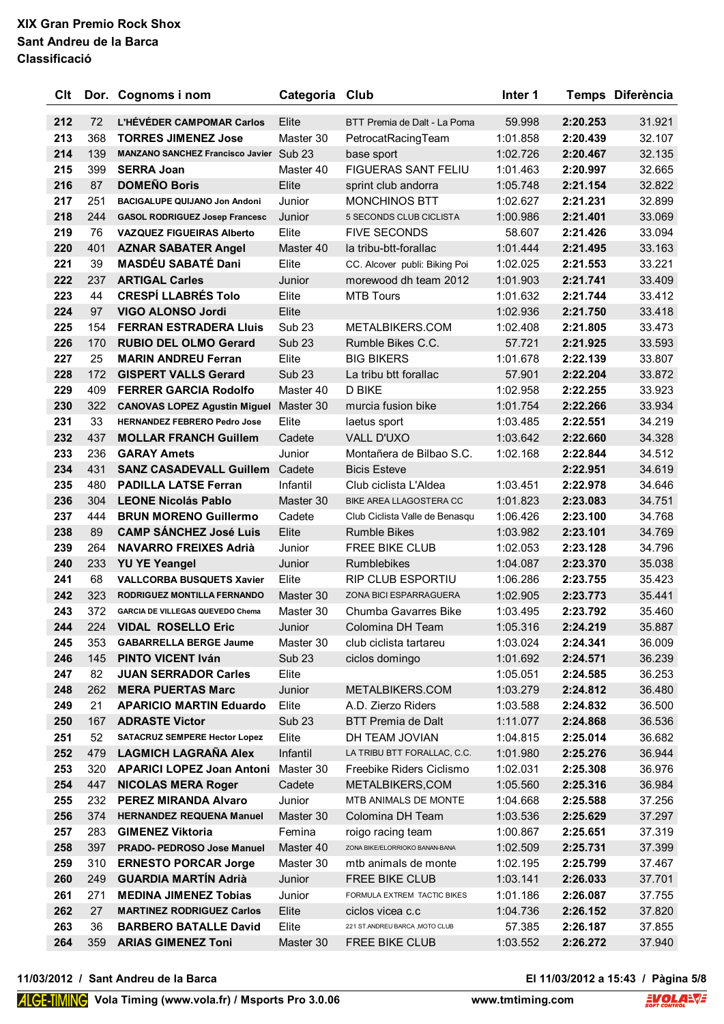| Clt        |           | Dor. Cognoms i nom                                      | Categoria                  | Club                                        | Inter 1              |                      | Temps Diferència |
|------------|-----------|---------------------------------------------------------|----------------------------|---------------------------------------------|----------------------|----------------------|------------------|
| 212        | 72        | <b>L'HÉVÉDER CAMPOMAR Carlos</b>                        | Elite                      | BTT Premia de Dalt - La Poma                | 59.998               | 2:20.253             | 31.921           |
| 213        | 368       | <b>TORRES JIMENEZ Jose</b>                              | Master 30                  | PetrocatRacingTeam                          | 1:01.858             | 2:20.439             | 32.107           |
| 214        | 139       | <b>MANZANO SANCHEZ Francisco Javier Sub 23</b>          |                            | base sport                                  | 1:02.726             | 2:20.467             | 32.135           |
| 215        | 399       | <b>SERRA Joan</b>                                       | Master 40                  | <b>FIGUERAS SANT FELIU</b>                  | 1:01.463             | 2:20.997             | 32.665           |
| 216        | 87        | <b>DOMEÑO Boris</b>                                     | Elite                      | sprint club andorra                         | 1:05.748             | 2:21.154             | 32.822           |
| 217        | 251       | <b>BACIGALUPE QUIJANO Jon Andoni</b>                    | Junior                     | <b>MONCHINOS BTT</b>                        | 1:02.627             | 2:21.231             | 32.899           |
| 218        | 244       | <b>GASOL RODRIGUEZ Josep Francesc</b>                   | Junior                     | 5 SECONDS CLUB CICLISTA                     | 1:00.986             | 2:21.401             | 33.069           |
| 219        | 76        | <b>VAZQUEZ FIGUEIRAS Alberto</b>                        | Elite                      | <b>FIVE SECONDS</b>                         | 58.607               | 2:21.426             | 33.094           |
| 220        | 401       | <b>AZNAR SABATER Angel</b>                              | Master 40                  | la tribu-btt-forallac                       | 1:01.444             | 2:21.495             | 33.163           |
| 221        | 39        | <b>MASDÉU SABATÉ Dani</b>                               | Elite                      | CC. Alcover publi: Biking Poi               | 1:02.025             | 2:21.553             | 33.221           |
| 222        | 237       | <b>ARTIGAL Carles</b>                                   | Junior                     | morewood dh team 2012                       | 1:01.903             | 2:21.741             | 33.409           |
| 223        | 44        | <b>CRESPÍ LLABRÉS Tolo</b>                              | Elite                      | <b>MTB Tours</b>                            | 1:01.632             | 2:21.744             | 33.412           |
| 224        | 97        | VIGO ALONSO Jordi                                       | Elite                      |                                             | 1:02.936             | 2:21.750             | 33.418           |
| 225        | 154       | <b>FERRAN ESTRADERA Lluis</b>                           | Sub <sub>23</sub>          | METALBIKERS.COM                             | 1:02.408             | 2:21.805             | 33.473           |
| 226        | 170       | <b>RUBIO DEL OLMO Gerard</b>                            | <b>Sub 23</b>              | Rumble Bikes C.C.                           | 57.721               | 2:21.925             | 33.593           |
| 227        | 25        | <b>MARIN ANDREU Ferran</b>                              | Elite                      | <b>BIG BIKERS</b>                           | 1:01.678             | 2:22.139             | 33.807           |
| 228        | 172       | <b>GISPERT VALLS Gerard</b>                             | <b>Sub 23</b>              | La tribu btt forallac                       | 57.901               | 2:22.204             | 33.872           |
| 229        | 409       | <b>FERRER GARCIA Rodolfo</b>                            | Master 40                  | <b>D BIKE</b>                               | 1:02.958             | 2:22.255             | 33.923           |
| 230        | 322       | <b>CANOVAS LOPEZ Agustin Miguel Master 30</b>           |                            | murcia fusion bike                          | 1:01.754             | 2:22.266             | 33.934           |
| 231        | 33        | <b>HERNANDEZ FEBRERO Pedro Jose</b>                     | Elite                      | laetus sport                                | 1:03.485             | 2:22.551             | 34.219           |
| 232        | 437       | <b>MOLLAR FRANCH Guillem</b>                            | Cadete                     | <b>VALL D'UXO</b>                           | 1:03.642             | 2:22.660             | 34.328           |
| 233        | 236       | <b>GARAY Amets</b>                                      | Junior                     | Montañera de Bilbao S.C.                    | 1:02.168             | 2:22.844             | 34.512           |
| 234        | 431       | <b>SANZ CASADEVALL Guillem</b>                          | Cadete                     | <b>Bicis Esteve</b>                         |                      | 2:22.951             | 34.619           |
| 235        | 480       | <b>PADILLA LATSE Ferran</b>                             | Infantil                   | Club ciclista L'Aldea                       | 1:03.451             | 2:22.978             | 34.646           |
| 236        | 304       | <b>LEONE Nicolás Pablo</b>                              | Master 30                  | BIKE AREA LLAGOSTERA CC                     | 1:01.823             | 2:23.083             | 34.751           |
| 237        | 444       | <b>BRUN MORENO Guillermo</b>                            | Cadete                     | Club Ciclista Valle de Benasqu              | 1:06.426             | 2:23.100             | 34.768           |
| 238        | 89        | <b>CAMP SÁNCHEZ José Luis</b>                           | Elite                      | <b>Rumble Bikes</b>                         | 1:03.982             | 2:23.101             | 34.769           |
| 239        | 264       | <b>NAVARRO FREIXES Adrià</b>                            | Junior                     | FREE BIKE CLUB                              | 1:02.053             | 2:23.128             | 34.796           |
| 240        | 233       | <b>YU YE Yeangel</b>                                    | Junior                     | <b>Rumblebikes</b>                          | 1:04.087             | 2:23.370             | 35.038           |
| 241        | 68        | <b>VALLCORBA BUSQUETS Xavier</b>                        | Elite                      | <b>RIP CLUB ESPORTIU</b>                    | 1:06.286             | 2:23.755             | 35.423           |
| 242        | 323       | RODRIGUEZ MONTILLA FERNANDO                             | Master 30                  | ZONA BICI ESPARRAGUERA                      | 1:02.905             | 2:23.773             | 35.441           |
| 243        | 372       | <b>GARCIA DE VILLEGAS QUEVEDO Chema</b>                 | Master 30                  | Chumba Gavarres Bike                        | 1:03.495             | 2:23.792             | 35.460           |
| 244        | 224       | <b>VIDAL ROSELLO Eric</b>                               | Junior                     | Colomina DH Team                            | 1:05.316             | 2:24.219             | 35.887           |
| 245        | 353       | <b>GABARRELLA BERGE Jaume</b>                           | Master 30                  | club ciclista tartareu                      | 1:03.024             | 2:24.341             | 36.009           |
| 246        | 145       | <b>PINTO VICENT Iván</b>                                | Sub <sub>23</sub>          | ciclos domingo                              | 1:01.692             | 2:24.571             | 36.239           |
| 247        | 82        | <b>JUAN SERRADOR Carles</b>                             | Elite                      |                                             | 1:05.051             | 2:24.585             | 36.253           |
| 248        | 262       | <b>MERA PUERTAS Marc</b>                                | Junior                     | METALBIKERS.COM                             | 1:03.279             | 2:24.812             | 36.480           |
| 249<br>250 | 21<br>167 | <b>APARICIO MARTIN Eduardo</b><br><b>ADRASTE Victor</b> | Elite<br>Sub <sub>23</sub> | A.D. Zierzo Riders                          | 1:03.588<br>1:11.077 | 2:24.832             | 36.500<br>36.536 |
| 251        | 52        | <b>SATACRUZ SEMPERE Hector Lopez</b>                    | Elite                      | <b>BTT Premia de Dalt</b><br>DH TEAM JOVIAN | 1:04.815             | 2:24.868<br>2:25.014 | 36.682           |
| 252        | 479       | <b>LAGMICH LAGRAÑA Alex</b>                             | Infantil                   | LA TRIBU BTT FORALLAC, C.C.                 | 1:01.980             | 2:25.276             | 36.944           |
| 253        | 320       | <b>APARICI LOPEZ Joan Antoni</b>                        | Master 30                  | Freebike Riders Ciclismo                    | 1:02.031             | 2:25.308             | 36.976           |
| 254        | 447       | <b>NICOLAS MERA Roger</b>                               | Cadete                     | METALBIKERS, COM                            | 1:05.560             | 2:25.316             | 36.984           |
| 255        | 232       | <b>PEREZ MIRANDA Alvaro</b>                             | Junior                     | MTB ANIMALS DE MONTE                        | 1:04.668             | 2:25.588             | 37.256           |
| 256        | 374       | <b>HERNANDEZ REQUENA Manuel</b>                         | Master 30                  | Colomina DH Team                            | 1:03.536             | 2:25.629             | 37.297           |
| 257        | 283       | <b>GIMENEZ Viktoria</b>                                 | Femina                     | roigo racing team                           | 1:00.867             | 2:25.651             | 37.319           |
| 258        | 397       | PRADO- PEDROSO Jose Manuel                              | Master 40                  | ZONA BIKE/ELORRIOKO BANAN-BANA              | 1:02.509             | 2:25.731             | 37.399           |
| 259        | 310       | <b>ERNESTO PORCAR Jorge</b>                             | Master 30                  | mtb animals de monte                        | 1:02.195             | 2:25.799             | 37.467           |
| 260        | 249       | <b>GUARDIA MARTÍN Adrià</b>                             | Junior                     | FREE BIKE CLUB                              | 1:03.141             | 2:26.033             | 37.701           |
| 261        | 271       | <b>MEDINA JIMENEZ Tobias</b>                            | Junior                     | FORMULA EXTREM TACTIC BIKES                 | 1:01.186             | 2:26.087             | 37.755           |
| 262        | 27        | <b>MARTINEZ RODRIGUEZ Carlos</b>                        | Elite                      | ciclos vicea c.c                            | 1:04.736             | 2:26.152             | 37.820           |
| 263        | 36        | <b>BARBERO BATALLE David</b>                            | Elite                      | 221 ST.ANDREU BARCA , MOTO CLUB             | 57.385               | 2:26.187             | 37.855           |
| 264        | 359       | <b>ARIAS GIMENEZ Toni</b>                               | Master 30                  | FREE BIKE CLUB                              | 1:03.552             | 2:26.272             | 37.940           |
|            |           |                                                         |                            |                                             |                      |                      |                  |

**11/03/2012 / Sant Andreu de la Barca El 11/03/2012 a 15:43 / Pàgina 5/8**

# El 11/03/2012 a 15:43 / Pàgina 5/8<br>ming.com **EVOLANT**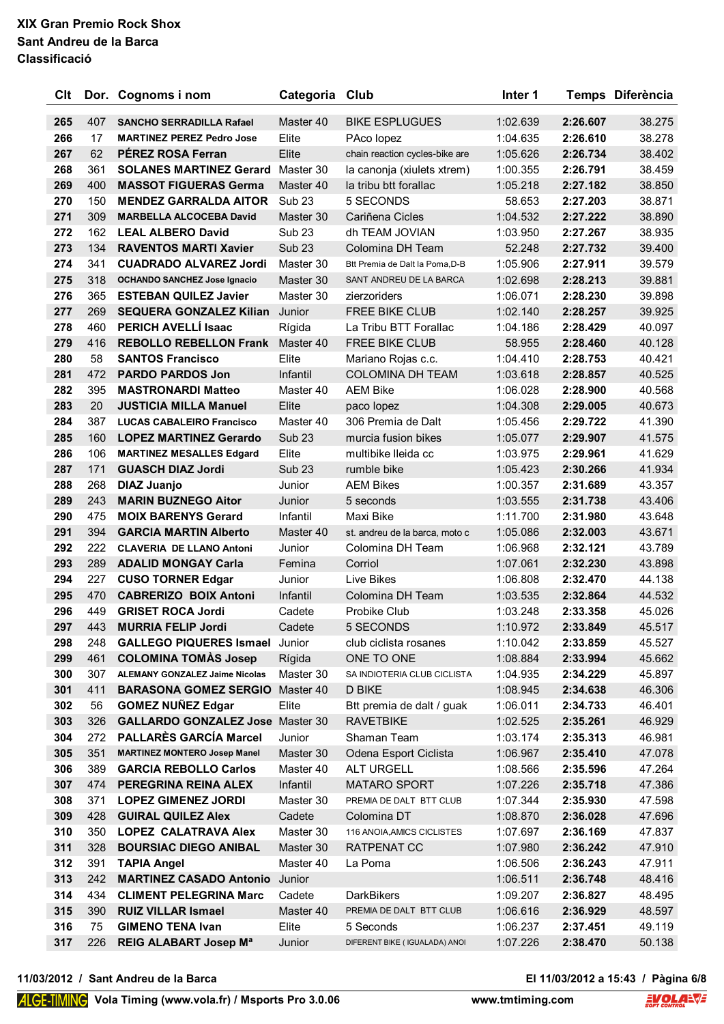| Clt        |            | Dor. Cognoms i nom                                         | Categoria Club     |                                              | Inter 1              |                      | Temps Diferència |
|------------|------------|------------------------------------------------------------|--------------------|----------------------------------------------|----------------------|----------------------|------------------|
| 265        | 407        | <b>SANCHO SERRADILLA Rafael</b>                            | Master 40          | <b>BIKE ESPLUGUES</b>                        | 1:02.639             | 2:26.607             | 38.275           |
| 266        | 17         | <b>MARTINEZ PEREZ Pedro Jose</b>                           | Elite              | PAco lopez                                   | 1:04.635             | 2:26.610             | 38.278           |
| 267        | 62         | <b>PEREZ ROSA Ferran</b>                                   | Elite              | chain reaction cycles-bike are               | 1:05.626             | 2:26.734             | 38.402           |
| 268        | 361        | <b>SOLANES MARTINEZ Gerard</b>                             | Master 30          | la canonja (xiulets xtrem)                   | 1:00.355             | 2:26.791             | 38.459           |
| 269        | 400        | <b>MASSOT FIGUERAS Germa</b>                               | Master 40          | la tribu btt forallac                        | 1:05.218             | 2:27.182             | 38.850           |
| 270        | 150        | <b>MENDEZ GARRALDA AITOR</b>                               | Sub <sub>23</sub>  | 5 SECONDS                                    | 58.653               | 2:27.203             | 38.871           |
| 271        | 309        | <b>MARBELLA ALCOCEBA David</b>                             | Master 30          | Cariñena Cicles                              | 1:04.532             | 2:27.222             | 38.890           |
| 272        | 162        | <b>LEAL ALBERO David</b>                                   | Sub <sub>23</sub>  | dh TEAM JOVIAN                               | 1:03.950             | 2:27.267             | 38.935           |
| 273        | 134        | <b>RAVENTOS MARTI Xavier</b>                               | Sub <sub>23</sub>  | Colomina DH Team                             | 52.248               | 2:27.732             | 39.400           |
| 274        | 341        | <b>CUADRADO ALVAREZ Jordi</b>                              | Master 30          | Btt Premia de Dalt la Poma, D-B              | 1:05.906             | 2:27.911             | 39.579           |
| 275        | 318        | <b>OCHANDO SANCHEZ Jose Ignacio</b>                        | Master 30          | SANT ANDREU DE LA BARCA                      | 1:02.698             | 2:28.213             | 39.881           |
| 276        | 365        | <b>ESTEBAN QUILEZ Javier</b>                               | Master 30          | zierzoriders                                 | 1:06.071             | 2:28.230             | 39.898           |
| 277        | 269        | <b>SEQUERA GONZALEZ Kilian</b>                             | Junior             | <b>FREE BIKE CLUB</b>                        | 1:02.140             | 2:28.257             | 39.925           |
| 278        | 460        | PERICH AVELLÍ Isaac                                        | Rígida             | La Tribu BTT Forallac                        | 1:04.186             | 2:28.429             | 40.097           |
| 279        | 416        | <b>REBOLLO REBELLON Frank</b>                              | Master 40          | <b>FREE BIKE CLUB</b>                        | 58.955               | 2:28.460             | 40.128           |
| 280        | 58         | <b>SANTOS Francisco</b>                                    | Elite              | Mariano Rojas c.c.                           | 1:04.410             | 2:28.753             | 40.421           |
| 281        | 472        | <b>PARDO PARDOS Jon</b>                                    | Infantil           | <b>COLOMINA DH TEAM</b>                      | 1:03.618             | 2:28.857             | 40.525           |
| 282        | 395        | <b>MASTRONARDI Matteo</b>                                  | Master 40          | <b>AEM Bike</b>                              | 1:06.028             | 2:28.900             | 40.568           |
| 283        | 20         | <b>JUSTICIA MILLA Manuel</b>                               | Elite              | paco lopez                                   | 1:04.308             | 2:29.005             | 40.673           |
| 284        | 387        | <b>LUCAS CABALEIRO Francisco</b>                           | Master 40          | 306 Premia de Dalt                           | 1:05.456             | 2:29.722             | 41.390           |
| 285        | 160        | <b>LOPEZ MARTINEZ Gerardo</b>                              | Sub <sub>23</sub>  | murcia fusion bikes                          | 1:05.077             | 2:29.907             | 41.575           |
| 286        | 106        | <b>MARTINEZ MESALLES Edgard</b>                            | Elite              | multibike lleida cc                          | 1:03.975             | 2:29.961             | 41.629           |
| 287        | 171        | <b>GUASCH DIAZ Jordi</b>                                   | Sub <sub>23</sub>  | rumble bike                                  | 1:05.423             | 2:30.266             | 41.934           |
| 288        | 268        | <b>DIAZ Juanjo</b>                                         | Junior             | <b>AEM Bikes</b>                             | 1:00.357             | 2:31.689             | 43.357           |
| 289        | 243        | <b>MARIN BUZNEGO Aitor</b>                                 | Junior             | 5 seconds                                    | 1:03.555             | 2:31.738             | 43.406           |
| 290        | 475        | <b>MOIX BARENYS Gerard</b>                                 | Infantil           | Maxi Bike                                    | 1:11.700             | 2:31.980             | 43.648           |
| 291        | 394        | <b>GARCIA MARTIN Alberto</b>                               | Master 40          | st. andreu de la barca, moto c               | 1:05.086             | 2:32.003             | 43.671           |
| 292        | 222        | <b>CLAVERIA DE LLANO Antoni</b>                            | Junior             | Colomina DH Team                             | 1:06.968             | 2:32.121             | 43.789           |
| 293        | 289        | <b>ADALID MONGAY Carla</b>                                 | Femina             | Corriol                                      | 1:07.061             | 2:32.230             | 43.898           |
| 294        | 227        | <b>CUSO TORNER Edgar</b>                                   | Junior             | Live Bikes                                   | 1:06.808             | 2:32.470             | 44.138           |
| 295        | 470        | <b>CABRERIZO BOIX Antoni</b>                               | Infantil           | Colomina DH Team                             | 1:03.535             | 2:32.864             | 44.532           |
| 296        | 449        | <b>GRISET ROCA Jordi</b>                                   | Cadete             | Probike Club                                 | 1:03.248             | 2:33.358             | 45.026           |
| 297        | 443        | <b>MURRIA FELIP Jordi</b>                                  | Cadete             | 5 SECONDS                                    | 1:10.972             | 2:33.849             | 45.517           |
| 298        | 248        | <b>GALLEGO PIQUERES Ismael</b>                             | Junior             | club ciclista rosanes                        | 1:10.042             | 2:33.859             | 45.527           |
| 299        | 461        | <b>COLOMINA TOMAS Josep</b>                                | Rígida             | ONE TO ONE                                   | 1:08.884             | 2:33.994             | 45.662           |
| 300        | 307        | <b>ALEMANY GONZALEZ Jaime Nicolas</b>                      | Master 30          | SA INDIOTERIA CLUB CICLISTA                  | 1:04.935             | 2:34.229             | 45.897           |
| 301        | 411        | <b>BARASONA GOMEZ SERGIO</b>                               | Master 40          | D BIKE                                       | 1:08.945             | 2:34.638             | 46.306           |
| 302        | 56         | <b>GOMEZ NUÑEZ Edgar</b>                                   | Elite              | Btt premia de dalt / guak                    | 1:06.011             | 2:34.733             | 46.401           |
| 303        | 326        | <b>GALLARDO GONZALEZ Jose Master 30</b>                    |                    | <b>RAVETBIKE</b>                             | 1:02.525             | 2:35.261             | 46.929           |
| 304        | 272        | <b>PALLARÈS GARCÍA Marcel</b>                              | Junior             | Shaman Team                                  | 1:03.174             | 2:35.313             | 46.981           |
| 305        | 351        | <b>MARTINEZ MONTERO Josep Manel</b>                        | Master 30          | Odena Esport Ciclista                        | 1:06.967             | 2:35.410             | 47.078           |
| 306        | 389        | <b>GARCIA REBOLLO Carlos</b>                               | Master 40          | ALT URGELL                                   | 1:08.566             | 2:35.596             | 47.264           |
| 307        | 474        | PEREGRINA REINA ALEX                                       | Infantil           | <b>MATARO SPORT</b>                          | 1:07.226             | 2:35.718             | 47.386           |
| 308        | 371        | <b>LOPEZ GIMENEZ JORDI</b>                                 | Master 30          | PREMIA DE DALT BTT CLUB                      | 1:07.344             | 2:35.930             | 47.598           |
| 309        | 428        | <b>GUIRAL QUILEZ Alex</b>                                  | Cadete             | Colomina DT                                  | 1:08.870             | 2:36.028             | 47.696           |
| 310        | 350        | <b>LOPEZ CALATRAVA Alex</b>                                | Master 30          | 116 ANOIA, AMICS CICLISTES                   | 1:07.697             | 2:36.169             | 47.837           |
| 311        | 328        | <b>BOURSIAC DIEGO ANIBAL</b>                               | Master 30          | RATPENAT CC                                  | 1:07.980             | 2:36.242             | 47.910           |
| 312        | 391        | <b>TAPIA Angel</b>                                         | Master 40          | La Poma                                      | 1:06.506             | 2:36.243             | 47.911           |
| 313        | 242        | <b>MARTINEZ CASADO Antonio</b>                             | Junior             |                                              | 1:06.511             | 2:36.748             | 48.416           |
| 314<br>315 | 434<br>390 | <b>CLIMENT PELEGRINA Marc</b><br><b>RUIZ VILLAR Ismael</b> | Cadete             | <b>DarkBikers</b><br>PREMIA DE DALT BTT CLUB | 1:09.207<br>1:06.616 | 2:36.827<br>2:36.929 | 48.495<br>48.597 |
| 316        | 75         | <b>GIMENO TENA Ivan</b>                                    | Master 40<br>Elite | 5 Seconds                                    | 1:06.237             | 2:37.451             | 49.119           |
|            |            |                                                            |                    |                                              |                      |                      |                  |
| 317        | 226        | <b>REIG ALABART Josep Ma</b>                               | Junior             | DIFERENT BIKE (IGUALADA) ANOI                | 1:07.226             | 2:38.470             | 50.138           |

**11/03/2012 / Sant Andreu de la Barca El 11/03/2012 a 15:43 / Pàgina 6/8**

El 11/03/2012 a 15:43 / Pàgina 6/8<br>ming.com **EVOLANT**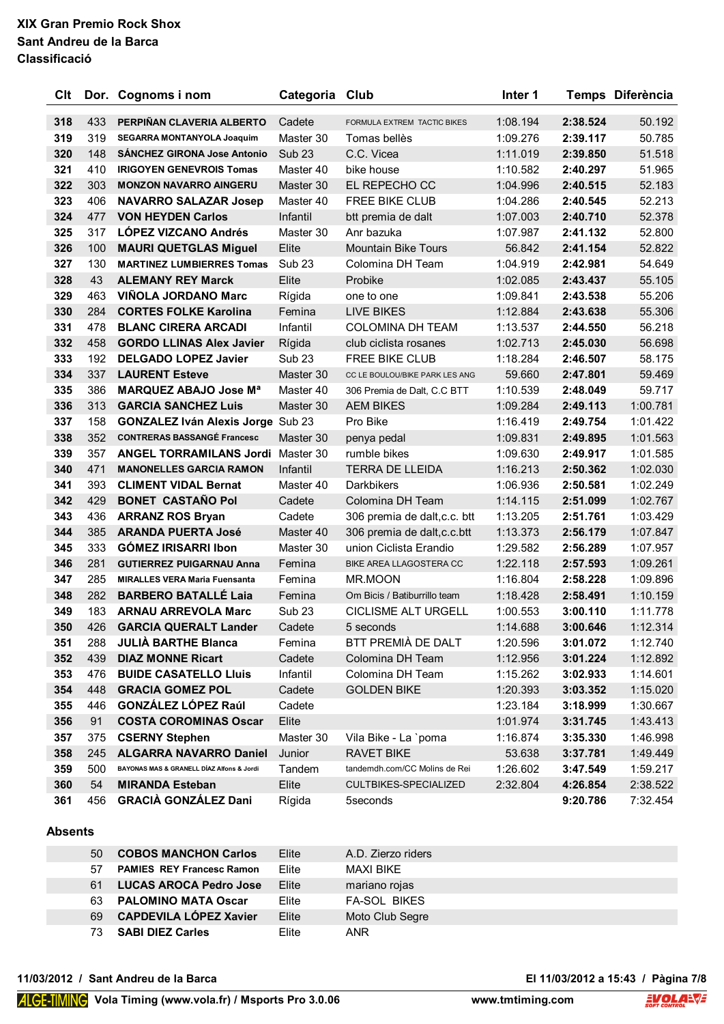| Clt |     | Dor. Cognoms i nom                        | Categoria         | Club                           | Inter 1  |          | Temps Diferència |
|-----|-----|-------------------------------------------|-------------------|--------------------------------|----------|----------|------------------|
| 318 | 433 | PERPIÑAN CLAVERIA ALBERTO                 | Cadete            | FORMULA EXTREM TACTIC BIKES    | 1:08.194 | 2:38.524 | 50.192           |
| 319 | 319 | <b>SEGARRA MONTANYOLA Joaquim</b>         | Master 30         | Tomas bellès                   | 1:09.276 | 2:39.117 | 50.785           |
| 320 | 148 | <b>SÁNCHEZ GIRONA Jose Antonio</b>        | Sub <sub>23</sub> | C.C. Vicea                     | 1:11.019 | 2:39.850 | 51.518           |
| 321 | 410 | <b>IRIGOYEN GENEVROIS Tomas</b>           | Master 40         | bike house                     | 1:10.582 | 2:40.297 | 51.965           |
| 322 | 303 | <b>MONZON NAVARRO AINGERU</b>             | Master 30         | EL REPECHO CC                  | 1:04.996 | 2:40.515 | 52.183           |
| 323 | 406 | <b>NAVARRO SALAZAR Josep</b>              | Master 40         | FREE BIKE CLUB                 | 1:04.286 | 2:40.545 | 52.213           |
| 324 | 477 | <b>VON HEYDEN Carlos</b>                  | Infantil          | btt premia de dalt             | 1:07.003 | 2:40.710 | 52.378           |
| 325 | 317 | <b>LÓPEZ VIZCANO Andrés</b>               | Master 30         | Anr bazuka                     | 1:07.987 | 2:41.132 | 52.800           |
| 326 | 100 | <b>MAURI QUETGLAS Miguel</b>              | Elite             | <b>Mountain Bike Tours</b>     | 56.842   | 2:41.154 | 52.822           |
| 327 | 130 | <b>MARTINEZ LUMBIERRES Tomas</b>          | Sub <sub>23</sub> | Colomina DH Team               | 1:04.919 | 2:42.981 | 54.649           |
| 328 | 43  | <b>ALEMANY REY Marck</b>                  | Elite             | Probike                        | 1:02.085 | 2:43.437 | 55.105           |
| 329 | 463 | <b>VIÑOLA JORDANO Marc</b>                | Rígida            | one to one                     | 1:09.841 | 2:43.538 | 55.206           |
| 330 | 284 | <b>CORTES FOLKE Karolina</b>              | Femina            | <b>LIVE BIKES</b>              | 1:12.884 | 2:43.638 | 55.306           |
| 331 | 478 | <b>BLANC CIRERA ARCADI</b>                | Infantil          | <b>COLOMINA DH TEAM</b>        | 1:13.537 | 2:44.550 | 56.218           |
| 332 | 458 | <b>GORDO LLINAS Alex Javier</b>           | Rígida            | club ciclista rosanes          | 1:02.713 | 2:45.030 | 56.698           |
| 333 | 192 | <b>DELGADO LOPEZ Javier</b>               | Sub <sub>23</sub> | FREE BIKE CLUB                 | 1:18.284 | 2:46.507 | 58.175           |
| 334 | 337 | <b>LAURENT Esteve</b>                     | Master 30         | CC LE BOULOU/BIKE PARK LES ANG | 59.660   | 2:47.801 | 59.469           |
| 335 | 386 | <b>MARQUEZ ABAJO Jose Ma</b>              | Master 40         | 306 Premia de Dalt, C.C BTT    | 1:10.539 | 2:48.049 | 59.717           |
| 336 | 313 | <b>GARCIA SANCHEZ Luis</b>                | Master 30         | <b>AEM BIKES</b>               | 1:09.284 | 2:49.113 | 1:00.781         |
| 337 | 158 | <b>GONZALEZ Iván Alexis Jorge Sub 23</b>  |                   | Pro Bike                       | 1:16.419 | 2:49.754 | 1:01.422         |
| 338 | 352 | <b>CONTRERAS BASSANGÉ Francesc</b>        | Master 30         | penya pedal                    | 1:09.831 | 2:49.895 | 1:01.563         |
| 339 | 357 | <b>ANGEL TORRAMILANS Jordi</b>            | Master 30         | rumble bikes                   | 1:09.630 | 2:49.917 | 1:01.585         |
| 340 | 471 | <b>MANONELLES GARCIA RAMON</b>            | Infantil          | <b>TERRA DE LLEIDA</b>         | 1:16.213 | 2:50.362 | 1:02.030         |
| 341 | 393 | <b>CLIMENT VIDAL Bernat</b>               | Master 40         | Darkbikers                     | 1:06.936 | 2:50.581 | 1:02.249         |
| 342 | 429 | <b>BONET CASTAÑO Pol</b>                  | Cadete            | Colomina DH Team               | 1:14.115 | 2:51.099 | 1:02.767         |
| 343 | 436 | <b>ARRANZ ROS Bryan</b>                   | Cadete            | 306 premia de dalt, c.c. btt   | 1:13.205 | 2:51.761 | 1:03.429         |
| 344 | 385 | <b>ARANDA PUERTA José</b>                 | Master 40         | 306 premia de dalt, c.c. btt   | 1:13.373 | 2:56.179 | 1:07.847         |
| 345 | 333 | <b>GÓMEZ IRISARRI Ibon</b>                | Master 30         | union Ciclista Erandio         | 1:29.582 | 2:56.289 | 1:07.957         |
| 346 | 281 | <b>GUTIERREZ PUIGARNAU Anna</b>           | Femina            | BIKE AREA LLAGOSTERA CC        | 1:22.118 | 2:57.593 | 1:09.261         |
| 347 | 285 | <b>MIRALLES VERA Maria Fuensanta</b>      | Femina            | <b>MR.MOON</b>                 | 1:16.804 | 2:58.228 | 1:09.896         |
| 348 | 282 | <b>BARBERO BATALLÉ Laia</b>               | Femina            | Om Bicis / Batiburrillo team   | 1:18.428 | 2:58.491 | 1:10.159         |
| 349 | 183 | <b>ARNAU ARREVOLA Marc</b>                | Sub <sub>23</sub> | <b>CICLISME ALT URGELL</b>     | 1:00.553 | 3:00.110 | 1:11.778         |
| 350 | 426 | <b>GARCIA QUERALT Lander</b>              | Cadete            | 5 seconds                      | 1:14.688 | 3:00.646 | 1:12.314         |
| 351 | 288 | <b>JULIÀ BARTHE Blanca</b>                | Femina            | BTT PREMIÀ DE DALT             | 1:20.596 | 3:01.072 | 1:12.740         |
| 352 | 439 | <b>DIAZ MONNE Ricart</b>                  | Cadete            | Colomina DH Team               | 1:12.956 | 3:01.224 | 1:12.892         |
| 353 | 476 | <b>BUIDE CASATELLO LIUIS</b>              | Infantil          | Colomina DH Team               | 1:15.262 | 3:02.933 | 1:14.601         |
| 354 | 448 | <b>GRACIA GOMEZ POL</b>                   | Cadete            | <b>GOLDEN BIKE</b>             | 1:20.393 | 3:03.352 | 1:15.020         |
| 355 | 446 | <b>GONZÁLEZ LÓPEZ Raúl</b>                | Cadete            |                                | 1:23.184 | 3:18.999 | 1:30.667         |
| 356 | 91  | <b>COSTA COROMINAS Oscar</b>              | Elite             |                                | 1:01.974 | 3:31.745 | 1:43.413         |
| 357 | 375 | <b>CSERNY Stephen</b>                     | Master 30         | Vila Bike - La `poma           | 1:16.874 | 3:35.330 | 1:46.998         |
| 358 | 245 | <b>ALGARRA NAVARRO Daniel</b>             | Junior            | RAVET BIKE                     | 53.638   | 3:37.781 | 1:49.449         |
| 359 | 500 | BAYONAS MAS & GRANELL DÍAZ Alfons & Jordi | Tandem            | tandemdh.com/CC Molins de Rei  | 1:26.602 | 3:47.549 | 1:59.217         |
| 360 | 54  | <b>MIRANDA Esteban</b>                    | Elite             | CULTBIKES-SPECIALIZED          | 2:32.804 | 4:26.854 | 2:38.522         |
| 361 | 456 | <b>GRACIÀ GONZÁLEZ Dani</b>               | Rígida            | 5seconds                       |          | 9:20.786 | 7:32.454         |

#### **Absents**

| 50 | <b>COBOS MANCHON Carlos</b>      | Elite | A.D. Zierzo riders  |
|----|----------------------------------|-------|---------------------|
| 57 | <b>PAMIES REY Francesc Ramon</b> | Flite | MAXI BIKF           |
| 61 | <b>LUCAS AROCA Pedro Jose</b>    | Elite | mariano rojas       |
|    | 63 PALOMINO MATA Oscar           | Elite | <b>FA-SOL BIKES</b> |
| 69 | <b>CAPDEVILA LÓPEZ Xavier</b>    | Elite | Moto Club Segre     |
| 73 | <b>SABI DIEZ Carles</b>          | Elite | <b>ANR</b>          |

**11/03/2012 / Sant Andreu de la Barca El 11/03/2012 a 15:43 / Pàgina 7/8**

El 11/03/2012 a 15:43 / Pàgina 7/8<br>ming.com **EVOLANT**